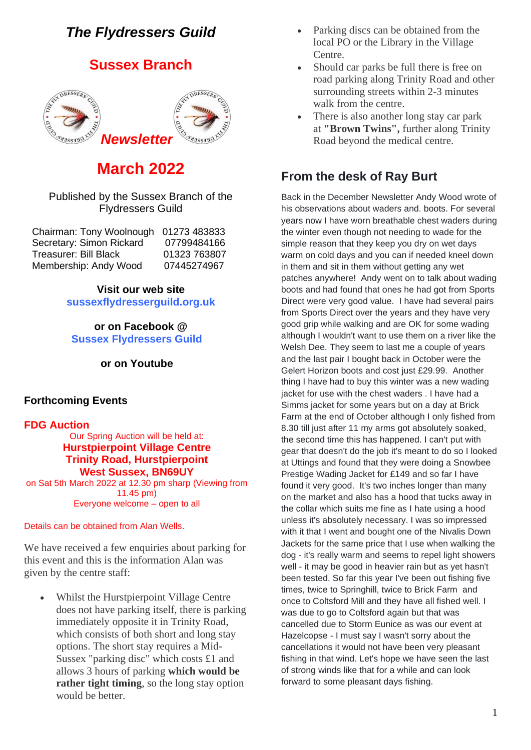# *The Flydressers Guild*

# **Sussex Branch**



# **March 2022**

### Published by the Sussex Branch of the Flydressers Guild

| 01273 483833 |
|--------------|
| 07799484166  |
| 01323 763807 |
| 07445274967  |
|              |

## **Visit our web site**

**sussexflydresserguild.org.uk**

## **or on Facebook @ Sussex Flydressers Guild**

**or on Youtube**

## **Forthcoming Events**

## **FDG Auction**

Our Spring Auction will be held at: **Hurstpierpoint Village Centre Trinity Road, Hurstpierpoint West Sussex, BN69UY** on Sat 5th March 2022 at 12.30 pm sharp (Viewing from

11.45 pm) Everyone welcome – open to all

### Details can be obtained from Alan Wells.

We have received a few enquiries about parking for this event and this is the information Alan was given by the centre staff:

• Whilst the Hurstpierpoint Village Centre does not have parking itself, there is parking immediately opposite it in Trinity Road, which consists of both short and long stay options. The short stay requires a Mid-Sussex "parking disc" which costs £1 and allows 3 hours of parking **which would be rather tight timing**, so the long stay option would be better.

- Parking discs can be obtained from the local PO or the Library in the Village Centre.
- Should car parks be full there is free on road parking along Trinity Road and other surrounding streets within 2-3 minutes walk from the centre.
- There is also another long stay car park at **"Brown Twins",** further along Trinity Road beyond the medical centre.

# **From the desk of Ray Burt**

Back in the December Newsletter Andy Wood wrote of his observations about waders and. boots. For several years now I have worn breathable chest waders during the winter even though not needing to wade for the simple reason that they keep you dry on wet days warm on cold days and you can if needed kneel down in them and sit in them without getting any wet patches anywhere! Andy went on to talk about wading boots and had found that ones he had got from Sports Direct were very good value. I have had several pairs from Sports Direct over the years and they have very good grip while walking and are OK for some wading although I wouldn't want to use them on a river like the Welsh Dee. They seem to last me a couple of years and the last pair I bought back in October were the Gelert Horizon boots and cost just £29.99. Another thing I have had to buy this winter was a new wading jacket for use with the chest waders . I have had a Simms jacket for some years but on a day at Brick Farm at the end of October although I only fished from 8.30 till just after 11 my arms got absolutely soaked, the second time this has happened. I can't put with gear that doesn't do the job it's meant to do so I looked at Uttings and found that they were doing a Snowbee Prestige Wading Jacket for £149 and so far I have found it very good. It's two inches longer than many on the market and also has a hood that tucks away in the collar which suits me fine as I hate using a hood unless it's absolutely necessary. I was so impressed with it that I went and bought one of the Nivalis Down Jackets for the same price that I use when walking the dog - it's really warm and seems to repel light showers well - it may be good in heavier rain but as yet hasn't been tested. So far this year I've been out fishing five times, twice to Springhill, twice to Brick Farm and once to Coltsford Mill and they have all fished well. I was due to go to Coltsford again but that was cancelled due to Storm Eunice as was our event at Hazelcopse - I must say I wasn't sorry about the cancellations it would not have been very pleasant fishing in that wind. Let's hope we have seen the last of strong winds like that for a while and can look forward to some pleasant days fishing.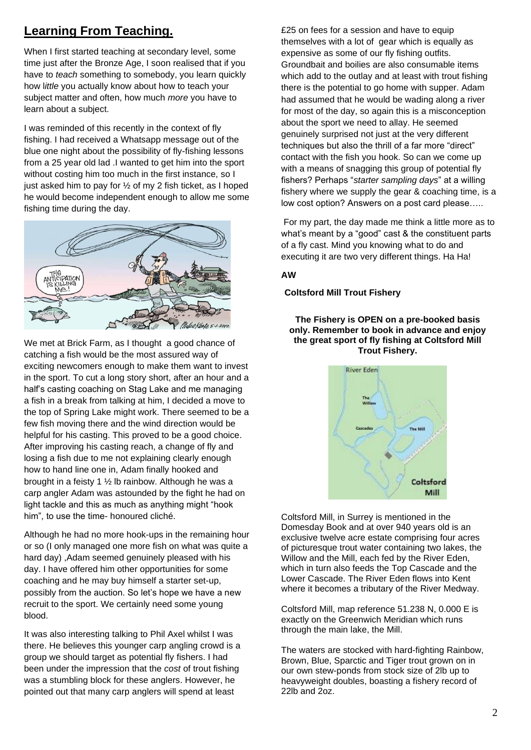# **Learning From Teaching.**

When I first started teaching at secondary level, some time just after the Bronze Age, I soon realised that if you have to *teach* something to somebody, you learn quickly how l*ittle* you actually know about how to teach your subject matter and often, how much *more* you have to learn about a subject.

I was reminded of this recently in the context of fly fishing. I had received a Whatsapp message out of the blue one night about the possibility of fly-fishing lessons from a 25 year old lad .I wanted to get him into the sport without costing him too much in the first instance, so I just asked him to pay for ½ of my 2 fish ticket, as I hoped he would become independent enough to allow me some fishing time during the day.



We met at Brick Farm, as I thought a good chance of catching a fish would be the most assured way of exciting newcomers enough to make them want to invest in the sport. To cut a long story short, after an hour and a half's casting coaching on Stag Lake and me managing a fish in a break from talking at him, I decided a move to the top of Spring Lake might work. There seemed to be a few fish moving there and the wind direction would be helpful for his casting. This proved to be a good choice. After improving his casting reach, a change of fly and losing a fish due to me not explaining clearly enough how to hand line one in, Adam finally hooked and brought in a feisty 1 ½ lb rainbow. Although he was a carp angler Adam was astounded by the fight he had on light tackle and this as much as anything might "hook him", to use the time- honoured cliché.

Although he had no more hook-ups in the remaining hour or so (I only managed one more fish on what was quite a hard day) ,Adam seemed genuinely pleased with his day. I have offered him other opportunities for some coaching and he may buy himself a starter set-up, possibly from the auction. So let's hope we have a new recruit to the sport. We certainly need some young blood.

It was also interesting talking to Phil Axel whilst I was there. He believes this younger carp angling crowd is a group we should target as potential fly fishers. I had been under the impression that the *cost* of trout fishing was a stumbling block for these anglers. However, he pointed out that many carp anglers will spend at least

£25 on fees for a session and have to equip themselves with a lot of gear which is equally as expensive as some of our fly fishing outfits. Groundbait and boilies are also consumable items which add to the outlay and at least with trout fishing there is the potential to go home with supper. Adam had assumed that he would be wading along a river for most of the day, so again this is a misconception about the sport we need to allay. He seemed genuinely surprised not just at the very different techniques but also the thrill of a far more "direct" contact with the fish you hook. So can we come up with a means of snagging this group of potential fly fishers? Perhaps "*starter sampling days*" at a willing fishery where we supply the gear & coaching time, is a low cost option? Answers on a post card please…..

For my part, the day made me think a little more as to what's meant by a "good" cast & the constituent parts of a fly cast. Mind you knowing what to do and executing it are two very different things. Ha Ha!

### **AW**

### **Coltsford Mill Trout Fishery**

### **The Fishery is OPEN on a pre-booked basis only. Remember to book in advance and enjoy the great sport of fly fishing at Coltsford Mill Trout Fishery.**



Coltsford Mill, in Surrey is mentioned in the Domesday Book and at over 940 years old is an exclusive twelve acre estate comprising four acres of picturesque trout water containing two lakes, the Willow and the Mill, each fed by the River Eden, which in turn also feeds the Top Cascade and the Lower Cascade. The River Eden flows into Kent where it becomes a tributary of the River Medway.

Coltsford Mill, map reference 51.238 N, 0.000 E is exactly on the Greenwich Meridian which runs through the main lake, the Mill.

The waters are stocked with hard-fighting Rainbow, Brown, Blue, Sparctic and Tiger trout grown on in our own stew-ponds from stock size of 2lb up to heavyweight doubles, boasting a fishery record of 22lb and 2oz.